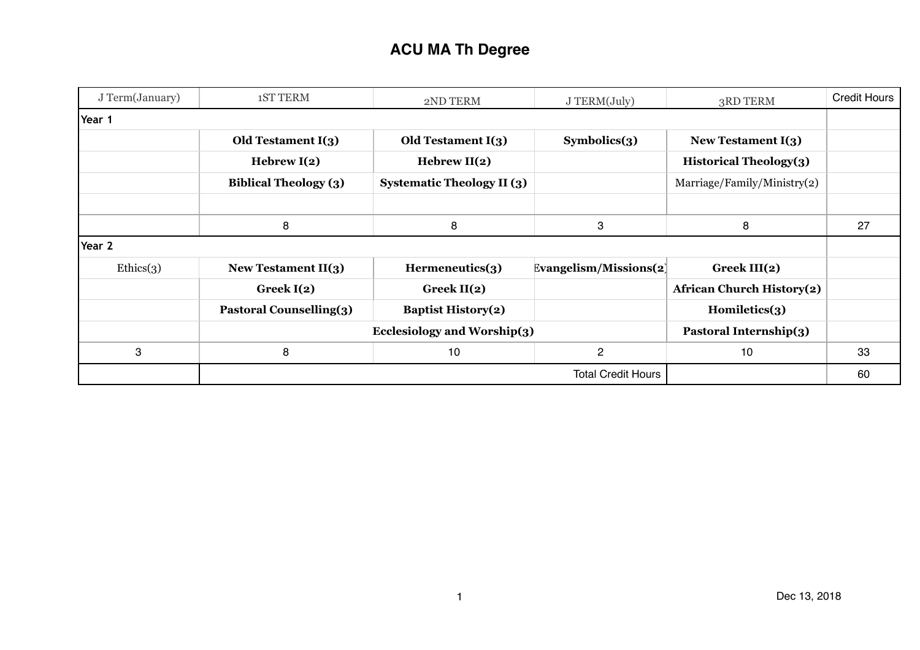| J Term(January) | <b>1ST TERM</b>                                              | 2ND TERM                          | J TERM(July)           | 3RD TERM                         | <b>Credit Hours</b> |
|-----------------|--------------------------------------------------------------|-----------------------------------|------------------------|----------------------------------|---------------------|
| Year 1          |                                                              |                                   |                        |                                  |                     |
|                 | Old Testament I(3)                                           | Old Testament $I(3)$              | Symbolics(3)           | New Testament $I(3)$             |                     |
|                 | Hebrew $I(2)$                                                | Hebrew $II(2)$                    |                        | <b>Historical Theology(3)</b>    |                     |
|                 | <b>Biblical Theology (3)</b>                                 | <b>Systematic Theology II (3)</b> |                        | Marriage/Family/Ministry(2)      |                     |
|                 |                                                              |                                   |                        |                                  |                     |
|                 | 8                                                            | 8                                 | 3                      | 8                                | 27                  |
| Year 2          |                                                              |                                   |                        |                                  |                     |
| Ethics(3)       | New Testament $II(3)$                                        | Hermeneutics(3)                   | Evangelism/Missions(2) | Greek $III(2)$                   |                     |
|                 | Greek $I(2)$                                                 | Greek $II(2)$                     |                        | <b>African Church History(2)</b> |                     |
|                 | <b>Pastoral Counselling(3)</b>                               | <b>Baptist History(2)</b>         |                        | Homiletics(3)                    |                     |
|                 | <b>Ecclesiology and Worship(3)</b><br>Pastoral Internship(3) |                                   |                        |                                  |                     |
| 3               | 8                                                            | 10                                | $\overline{2}$         | 10                               | 33                  |
|                 | <b>Total Credit Hours</b>                                    |                                   |                        |                                  | 60                  |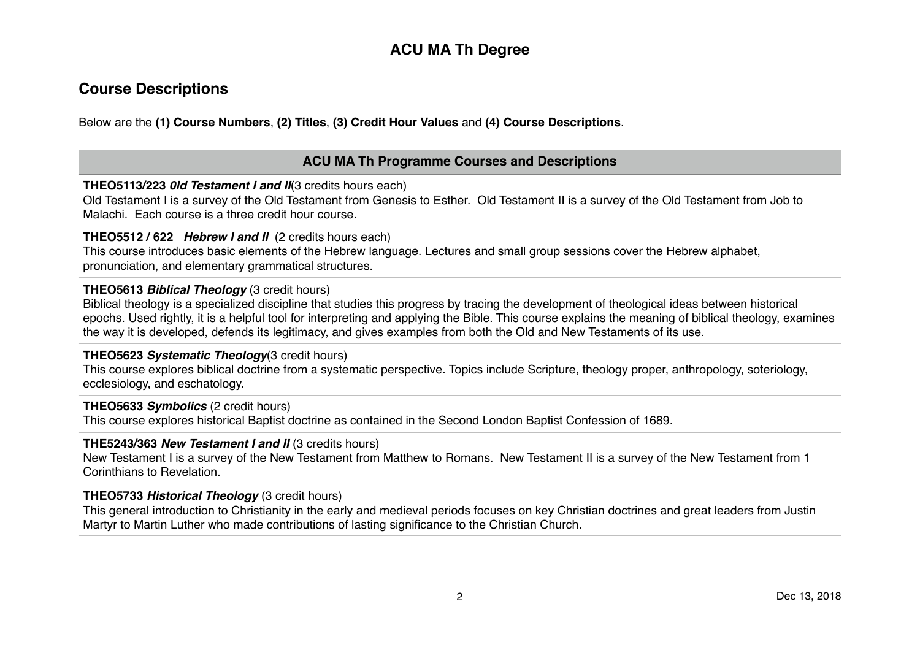## **Course Descriptions**

Below are the **(1) Course Numbers**, **(2) Titles**, **(3) Credit Hour Values** and **(4) Course Descriptions**.

### **ACU MA Th Programme Courses and Descriptions**

#### **THEO5113/223** *0ld Testament I and II*(3 credits hours each)

Old Testament I is a survey of the Old Testament from Genesis to Esther. Old Testament II is a survey of the Old Testament from Job to Malachi. Each course is a three credit hour course.

#### **THEO5512 / 622** *Hebrew I and II* (2 credits hours each)

This course introduces basic elements of the Hebrew language. Lectures and small group sessions cover the Hebrew alphabet, pronunciation, and elementary grammatical structures.

#### **THEO5613** *Biblical Theology* (3 credit hours)

Biblical theology is a specialized discipline that studies this progress by tracing the development of theological ideas between historical epochs. Used rightly, it is a helpful tool for interpreting and applying the Bible. This course explains the meaning of biblical theology, examines the way it is developed, defends its legitimacy, and gives examples from both the Old and New Testaments of its use.

#### **THEO5623** *Systematic Theology*(3 credit hours)

This course explores biblical doctrine from a systematic perspective. Topics include Scripture, theology proper, anthropology, soteriology, ecclesiology, and eschatology.

#### **THEO5633** *Symbolics* (2 credit hours)

This course explores historical Baptist doctrine as contained in the Second London Baptist Confession of 1689.

#### **THE5243/363** *New Testament I and II* (3 credits hours)

New Testament I is a survey of the New Testament from Matthew to Romans. New Testament II is a survey of the New Testament from 1 Corinthians to Revelation.

#### **THEO5733** *Historical Theology* (3 credit hours)

This general introduction to Christianity in the early and medieval periods focuses on key Christian doctrines and great leaders from Justin Martyr to Martin Luther who made contributions of lasting significance to the Christian Church.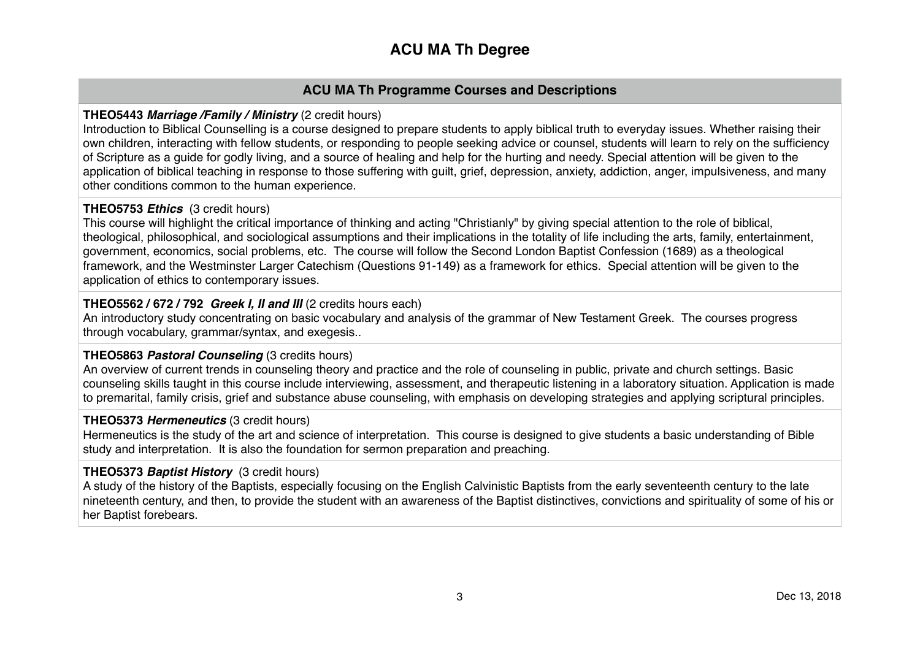### **ACU MA Th Programme Courses and Descriptions**

#### **THEO5443** *Marriage /Family / Ministry* (2 credit hours)

Introduction to Biblical Counselling is a course designed to prepare students to apply biblical truth to everyday issues. Whether raising their own children, interacting with fellow students, or responding to people seeking advice or counsel, students will learn to rely on the sufficiency of Scripture as a guide for godly living, and a source of healing and help for the hurting and needy. Special attention will be given to the application of biblical teaching in response to those suffering with guilt, grief, depression, anxiety, addiction, anger, impulsiveness, and many other conditions common to the human experience.

#### **THEO5753** *Ethics* (3 credit hours)

This course will highlight the critical importance of thinking and acting "Christianly" by giving special attention to the role of biblical, theological, philosophical, and sociological assumptions and their implications in the totality of life including the arts, family, entertainment, government, economics, social problems, etc. The course will follow the Second London Baptist Confession (1689) as a theological framework, and the Westminster Larger Catechism (Questions 91-149) as a framework for ethics. Special attention will be given to the application of ethics to contemporary issues.

#### **THEO5562 / 672 / 792** *Greek I, II and III* (2 credits hours each)

An introductory study concentrating on basic vocabulary and analysis of the grammar of New Testament Greek. The courses progress through vocabulary, grammar/syntax, and exegesis..

#### **THEO5863** *Pastoral Counseling* (3 credits hours)

An overview of current trends in counseling theory and practice and the role of counseling in public, private and church settings. Basic counseling skills taught in this course include interviewing, assessment, and therapeutic listening in a laboratory situation. Application is made to premarital, family crisis, grief and substance abuse counseling, with emphasis on developing strategies and applying scriptural principles.

#### **THEO5373** *Hermeneutics* (3 credit hours)

Hermeneutics is the study of the art and science of interpretation. This course is designed to give students a basic understanding of Bible study and interpretation. It is also the foundation for sermon preparation and preaching.

#### **THEO5373** *Baptist History* (3 credit hours)

A study of the history of the Baptists, especially focusing on the English Calvinistic Baptists from the early seventeenth century to the late nineteenth century, and then, to provide the student with an awareness of the Baptist distinctives, convictions and spirituality of some of his or her Baptist forebears.